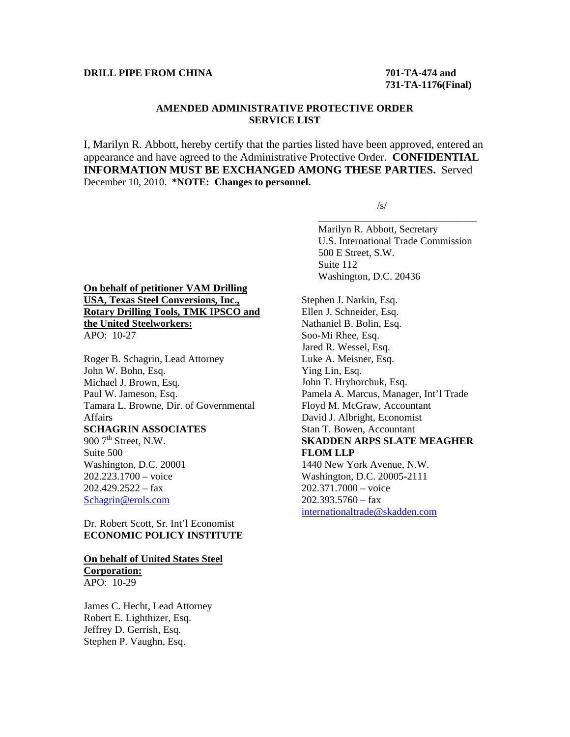#### **DRILL PIPE FROM CHINA** 701-TA-474 and

# **731-TA-1176(Final)**

## **AMENDED ADMINISTRATIVE PROTECTIVE ORDER SERVICE LIST**

I, Marilyn R. Abbott, hereby certify that the parties listed have been approved, entered an appearance and have agreed to the Administrative Protective Order. **CONFIDENTIAL INFORMATION MUST BE EXCHANGED AMONG THESE PARTIES.** Served December 10, 2010. **\*NOTE: Changes to personnel.** 

 $\overline{\phantom{a}}$  , and the contract of the contract of the contract of the contract of the contract of the contract of the contract of the contract of the contract of the contract of the contract of the contract of the contrac

 $\sqrt{s}$ /s/

 Marilyn R. Abbott, Secretary U.S. International Trade Commission 500 E Street, S.W. Suite 112 Washington, D.C. 20436

#### **On behalf of petitioner VAM Drilling USA, Texas Steel Conversions, Inc., Rotary Drilling Tools, TMK IPSCO and the United Steelworkers:** APO: 10-27

Roger B. Schagrin, Lead Attorney John W. Bohn, Esq. Michael J. Brown, Esq. Paul W. Jameson, Esq. Tamara L. Browne, Dir. of Governmental Affairs **SCHAGRIN ASSOCIATES**  $9007$ <sup>th</sup> Street, N.W. Suite 500 Washington, D.C. 20001 202.223.1700 – voice  $202.429.2522 - fax$ Schagrin@erols.com

## Dr. Robert Scott, Sr. Int'l Economist **ECONOMIC POLICY INSTITUTE**

#### **On behalf of United States Steel Corporation:**

APO: 10-29

James C. Hecht, Lead Attorney Robert E. Lighthizer, Esq. Jeffrey D. Gerrish, Esq. Stephen P. Vaughn, Esq.

Stephen J. Narkin, Esq. Ellen J. Schneider, Esq. Nathaniel B. Bolin, Esq. Soo-Mi Rhee, Esq. Jared R. Wessel, Esq. Luke A. Meisner, Esq. Ying Lin, Esq. John T. Hryhorchuk, Esq. Pamela A. Marcus, Manager, Int'l Trade Floyd M. McGraw, Accountant David J. Albright, Economist Stan T. Bowen, Accountant **SKADDEN ARPS SLATE MEAGHER FLOM LLP** 1440 New York Avenue, N.W. Washington, D.C. 20005-2111 202.371.7000 – voice  $202.393.5760 - fax$ internationaltrade@skadden.com